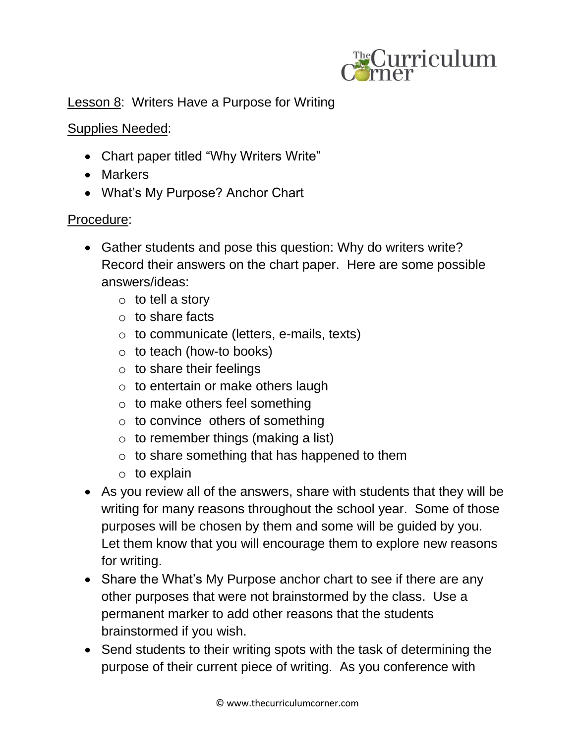

## **Lesson 8: Writers Have a Purpose for Writing**

## Supplies Needed:

- Chart paper titled "Why Writers Write"
- Markers
- What's My Purpose? Anchor Chart

## Procedure:

- Gather students and pose this question: Why do writers write? Record their answers on the chart paper. Here are some possible answers/ideas:
	- $\circ$  to tell a story
	- o to share facts
	- o to communicate (letters, e-mails, texts)
	- $\circ$  to teach (how-to books)
	- $\circ$  to share their feelings
	- $\circ$  to entertain or make others laugh
	- $\circ$  to make others feel something
	- $\circ$  to convince others of something
	- $\circ$  to remember things (making a list)
	- o to share something that has happened to them
	- $\circ$  to explain
- As you review all of the answers, share with students that they will be writing for many reasons throughout the school year. Some of those purposes will be chosen by them and some will be guided by you. Let them know that you will encourage them to explore new reasons for writing.
- Share the What's My Purpose anchor chart to see if there are any other purposes that were not brainstormed by the class. Use a permanent marker to add other reasons that the students brainstormed if you wish.
- Send students to their writing spots with the task of determining the purpose of their current piece of writing. As you conference with